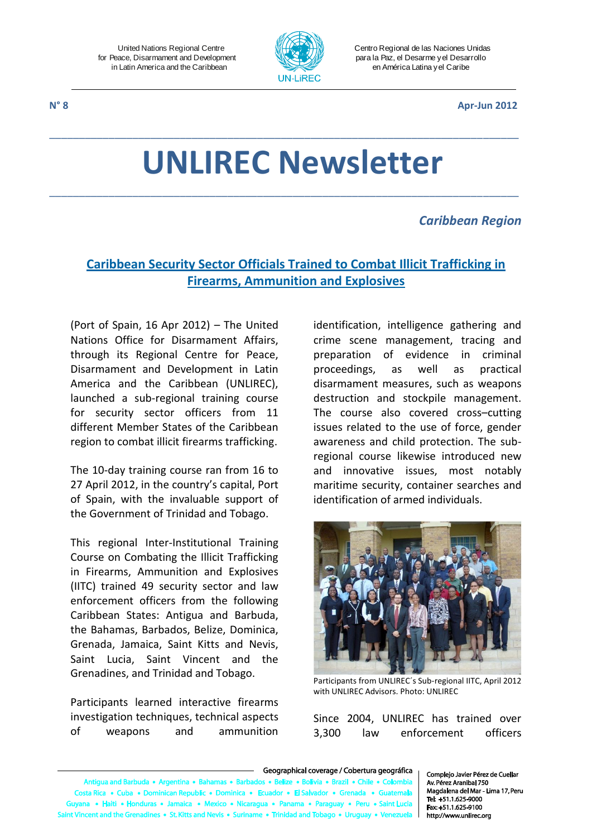

Centro Regional de las Naciones Unidas para la Paz, el Desarme y el Desarrollo en América Latina y el Caribe

**N° 8 Apr-Jun 2012**

# **UNLIREC Newsletter**

\_\_\_\_\_\_\_\_\_\_\_\_\_\_\_\_\_\_\_\_\_\_\_\_\_\_\_\_\_\_\_\_\_\_\_\_\_\_\_\_\_\_\_\_\_\_\_\_\_\_\_\_\_\_\_\_\_\_\_\_\_\_\_\_\_\_\_\_\_\_\_\_\_\_\_\_\_\_\_

\_\_\_\_\_\_\_\_\_\_\_\_\_\_\_\_\_\_\_\_\_\_\_\_\_\_\_\_\_\_\_\_\_\_\_\_\_\_\_\_\_\_\_\_\_\_\_\_\_\_\_\_\_\_\_\_\_\_\_\_\_\_\_\_\_\_\_\_\_\_\_\_\_\_\_\_\_\_\_

### *Caribbean Region*

# **Caribbean Security Sector Officials Trained to Combat Illicit Trafficking in Firearms, Ammunition and Explosives**

(Port of Spain, 16 Apr 2012) – The United Nations Office for Disarmament Affairs, through its Regional Centre for Peace, Disarmament and Development in Latin America and the Caribbean (UNLIREC), launched a sub-regional training course for security sector officers from 11 different Member States of the Caribbean region to combat illicit firearms trafficking.

The 10-day training course ran from 16 to 27 April 2012, in the country's capital, Port of Spain, with the invaluable support of the Government of Trinidad and Tobago.

This regional Inter-Institutional Training Course on Combating the Illicit Trafficking in Firearms, Ammunition and Explosives (IITC) trained 49 security sector and law enforcement officers from the following Caribbean States: Antigua and Barbuda, the Bahamas, Barbados, Belize, Dominica, Grenada, Jamaica, Saint Kitts and Nevis, Saint Lucia, Saint Vincent and the Grenadines, and Trinidad and Tobago.

Participants learned interactive firearms investigation techniques, technical aspects of weapons and ammunition

identification, intelligence gathering and crime scene management, tracing and preparation of evidence in criminal proceedings, as well as practical disarmament measures, such as weapons destruction and stockpile management. The course also covered cross–cutting issues related to the use of force, gender awareness and child protection. The subregional course likewise introduced new and innovative issues, most notably maritime security, container searches and identification of armed individuals.



Participants from UNLIREC´s Sub-regional IITC, April 2012 with UNLIREC Advisors. Photo: UNLIREC

Since 2004, UNLIREC has trained over 3,300 law enforcement officers

#### Geographical coverage / Cobertura geográfica

ua and Barb uda • Argentina • Bał s a Reli e e Rolivia e Brazil e Chile e Colombi ac a R ta Rica · Cuba · Dominican Republic · Dominica · Ecu dor • (  $\mathbf{r}$  . Fis a • Haiti • Honduras • Jamaica • Mexico • Nicaragua • Panama • Para • Peru • Saint Lu ent and the Grenadines • St. Kitts and Nevis • Suriname • Trinidad and Tob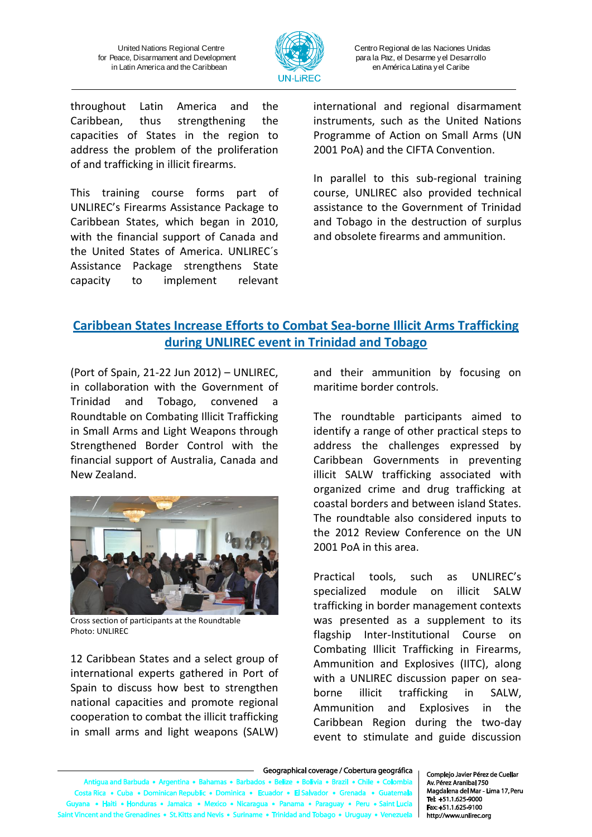

Centro Regional de las Naciones Unidas para la Paz, el Desarme y el Desarrollo en América Latina y el Caribe

throughout Latin America and the Caribbean, thus strengthening the capacities of States in the region to address the problem of the proliferation of and trafficking in illicit firearms.

This training course forms part of UNLIREC's Firearms Assistance Package to Caribbean States, which began in 2010, with the financial support of Canada and the United States of America. UNLIREC´s Assistance Package strengthens State capacity to implement relevant international and regional disarmament instruments, such as the United Nations Programme of Action on Small Arms (UN 2001 PoA) and the CIFTA Convention.

In parallel to this sub-regional training course, UNLIREC also provided technical assistance to the Government of Trinidad and Tobago in the destruction of surplus and obsolete firearms and ammunition.

# **Caribbean States Increase Efforts to Combat Sea-borne Illicit Arms Trafficking during UNLIREC event in Trinidad and Tobago**

(Port of Spain, 21-22 Jun 2012) – UNLIREC, in collaboration with the Government of Trinidad and Tobago, convened a Roundtable on Combating Illicit Trafficking in Small Arms and Light Weapons through Strengthened Border Control with the financial support of Australia, Canada and New Zealand.



Cross section of participants at the Roundtable Photo: UNLIREC

12 Caribbean States and a select group of international experts gathered in Port of Spain to discuss how best to strengthen national capacities and promote regional cooperation to combat the illicit trafficking in small arms and light weapons (SALW)

and their ammunition by focusing on maritime border controls.

The roundtable participants aimed to identify a range of other practical steps to address the challenges expressed by Caribbean Governments in preventing illicit SALW trafficking associated with organized crime and drug trafficking at coastal borders and between island States. The roundtable also considered inputs to the 2012 Review Conference on the UN 2001 PoA in this area.

Practical tools, such as UNLIREC's specialized module on illicit SALW trafficking in border management contexts was presented as a supplement to its flagship Inter-Institutional Course on Combating Illicit Trafficking in Firearms, Ammunition and Explosives (IITC), along with a UNLIREC discussion paper on seaborne illicit trafficking in SALW, Ammunition and Explosives in the Caribbean Region during the two-day event to stimulate and guide discussion

los • Beli Antigua and Barbuda . Argentina . Bah as • Bar e • Bolivia • Brazil • Chile • Colombia Costa Rica • Cuba • Dominican Republic • Dominica • Ecua dor . El Salvador . Gr na • Haiti • Honduras • Jamaica • Mexico • Nicaragua • Panama • Paraguay • Peru • Saint Lu Vincent and the Grenadines • St. Kitts and Nevis • Suriname • Trinidad and Tobago • Urugu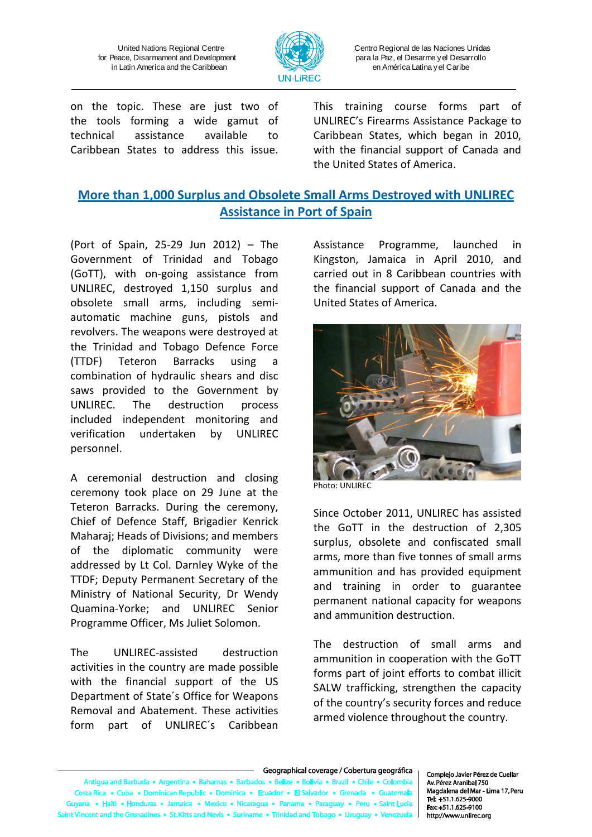

Centro Regional de las Naciones Unidas para la Paz, el Desarme y el Desarrollo en América Latina y el Caribe

on the topic. These are just two of the tools forming a wide gamut of technical assistance available to Caribbean States to address this issue. This training course forms part of UNLIREC's Firearms Assistance Package to Caribbean States, which began in 2010, with the financial support of Canada and the United States of America.

## **More than 1,000 Surplus and Obsolete Small Arms Destroyed with UNLIREC Assistance in Port of Spain**

(Port of Spain, 25-29 Jun 2012) – The Government of Trinidad and Tobago (GoTT), with on-going assistance from UNLIREC, destroyed 1,150 surplus and obsolete small arms, including semiautomatic machine guns, pistols and revolvers. The weapons were destroyed at the Trinidad and Tobago Defence Force (TTDF) Teteron Barracks using a combination of hydraulic shears and disc saws provided to the Government by UNLIREC. The destruction process included independent monitoring and verification undertaken by UNLIREC personnel.

A ceremonial destruction and closing ceremony took place on 29 June at the Teteron Barracks. During the ceremony, Chief of Defence Staff, Brigadier Kenrick Maharaj; Heads of Divisions; and members of the diplomatic community were addressed by Lt Col. Darnley Wyke of the TTDF; Deputy Permanent Secretary of the Ministry of National Security, Dr Wendy Quamina-Yorke; and UNLIREC Senior Programme Officer, Ms Juliet Solomon.

The UNLIREC-assisted destruction activities in the country are made possible with the financial support of the US Department of State´s Office for Weapons Removal and Abatement. These activities form part of UNLIREC´s Caribbean

Assistance Programme, launched in Kingston, Jamaica in April 2010, and carried out in 8 Caribbean countries with the financial support of Canada and the United States of America.



Photo: UNLIREC

Since October 2011, UNLIREC has assisted the GoTT in the destruction of 2,305 surplus, obsolete and confiscated small arms, more than five tonnes of small arms ammunition and has provided equipment and training in order to guarantee permanent national capacity for weapons and ammunition destruction.

The destruction of small arms and ammunition in cooperation with the GoTT forms part of joint efforts to combat illicit SALW trafficking, strengthen the capacity of the country's security forces and reduce armed violence throughout the country.

los • Beliz tigua and Barbuda • Argentina • Bah mas . Barl e • Bolivia • Brazil • Chile • Colombia Costa Rica • Cuba • Dominican Republic • Dominica • Ecua dor . El Salvador . Gr na • Haiti • Honduras • Jamaica • Mexico • Nicaragua • Panama • Paraguay • Peru • Saint Luc Vincent and the Grenadines • St. Kitts and Nevis • Suriname • Trinidad and Tobago • Urugu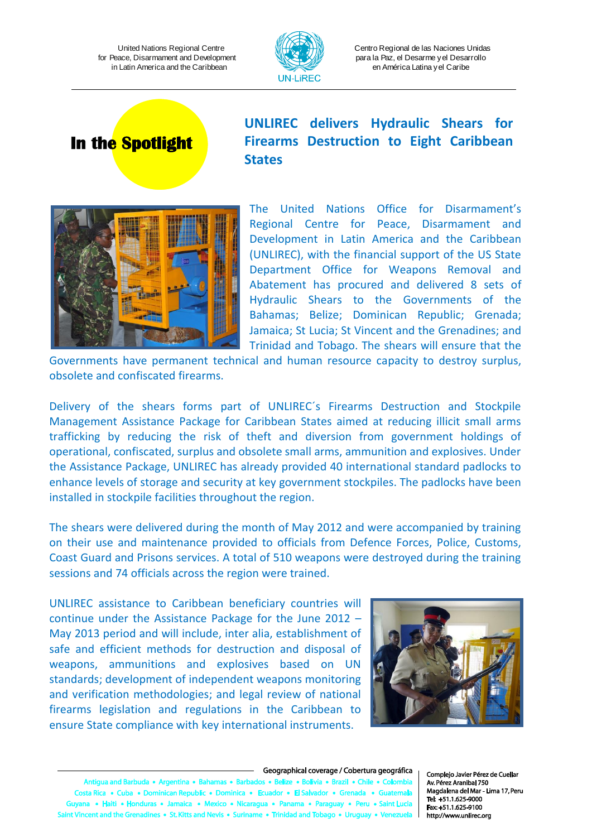

Centro Regional de las Naciones Unidas para la Paz, el Desarme y el Desarrollo en América Latina y el Caribe

# **In the Spotlight**

# **UNLIREC delivers Hydraulic Shears for Firearms Destruction to Eight Caribbean States**



The United Nations Office for Disarmament's Regional Centre for Peace, Disarmament and Development in Latin America and the Caribbean (UNLIREC), with the financial support of the US State Department Office for Weapons Removal and Abatement has procured and delivered 8 sets of Hydraulic Shears to the Governments of the Bahamas; Belize; Dominican Republic; Grenada; Jamaica; St Lucia; St Vincent and the Grenadines; and Trinidad and Tobago. The shears will ensure that the

Governments have permanent technical and human resource capacity to destroy surplus, obsolete and confiscated firearms.

Delivery of the shears forms part of UNLIREC´s Firearms Destruction and Stockpile Management Assistance Package for Caribbean States aimed at reducing illicit small arms trafficking by reducing the risk of theft and diversion from government holdings of operational, confiscated, surplus and obsolete small arms, ammunition and explosives. Under the Assistance Package, UNLIREC has already provided 40 international standard padlocks to enhance levels of storage and security at key government stockpiles. The padlocks have been installed in stockpile facilities throughout the region.

The shears were delivered during the month of May 2012 and were accompanied by training on their use and maintenance provided to officials from Defence Forces, Police, Customs, Coast Guard and Prisons services. A total of 510 weapons were destroyed during the training sessions and 74 officials across the region were trained.

UNLIREC assistance to Caribbean beneficiary countries will continue under the Assistance Package for the June 2012 – May 2013 period and will include, inter alia, establishment of safe and efficient methods for destruction and disposal of weapons, ammunitions and explosives based on UN standards; development of independent weapons monitoring and verification methodologies; and legal review of national firearms legislation and regulations in the Caribbean to ensure State compliance with key international instruments.



#### Geographical coverage / Cobertura geográfica

tigua and Barbuda • Argentina • Bah mas • Barba dos • Belize • Bolivia • Brazil • Chile • Colombia Costa Rica · Cuba · Dominican Republic · Dominica · Ecuador · El Salvador · Gr na • Haiti • Honduras • Jamaica • Mexico • Nicaragua • Panama • Paraguay • Peru • Saint Luci Vincent and the Grenadines • St. Kitts and Nevis • Suriname • Trinidad and Tobago • Uruguay • V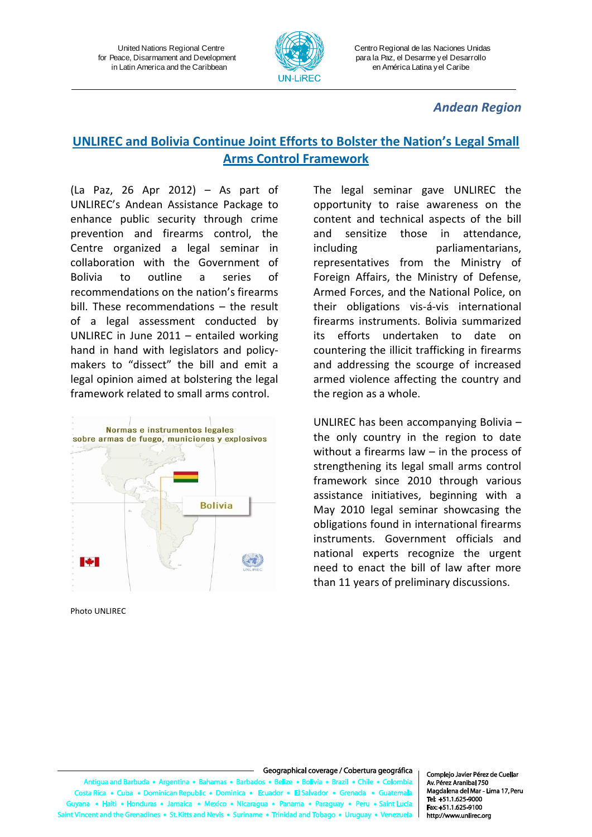

Centro Regional de las Naciones Unidas para la Paz, el Desarme y el Desarrollo en América Latina y el Caribe

#### *Andean Region*

## **UNLIREC and Bolivia Continue Joint Efforts to Bolster the Nation's Legal Small Arms Control Framework**

(La Paz, 26 Apr 2012) – As part of UNLIREC's Andean Assistance Package to enhance public security through crime prevention and firearms control, the Centre organized a legal seminar in collaboration with the Government of Bolivia to outline a series of recommendations on the nation's firearms bill. These recommendations – the result of a legal assessment conducted by UNLIREC in June 2011 – entailed working hand in hand with legislators and policymakers to "dissect" the bill and emit a legal opinion aimed at bolstering the legal framework related to small arms control.



Photo UNLIREC

The legal seminar gave UNLIREC the opportunity to raise awareness on the content and technical aspects of the bill and sensitize those in attendance, including parliamentarians, representatives from the Ministry of Foreign Affairs, the Ministry of Defense, Armed Forces, and the National Police, on their obligations vis-á-vis international firearms instruments. Bolivia summarized its efforts undertaken to date on countering the illicit trafficking in firearms and addressing the scourge of increased armed violence affecting the country and the region as a whole.

UNLIREC has been accompanying Bolivia – the only country in the region to date without a firearms law – in the process of strengthening its legal small arms control framework since 2010 through various assistance initiatives, beginning with a May 2010 legal seminar showcasing the obligations found in international firearms instruments. Government officials and national experts recognize the urgent need to enact the bill of law after more than 11 years of preliminary discussions.

#### Geographical coverage / Cobertura geográfica

uda • Argentina • Bah s • Beli tigua and Barb  $\overline{\text{as}} \cdot \overline{\text{B}}$ e e Rolivia e Brazil e Chile e Colombi ta Rica • Cuba • Dominican Republic • Dominica • Ecu  $or - El Salv$ idor • Gr a • Haiti • Honduras • Jamaica • Mexico • Nicaragua • Panama • Paraguay • Peru • Saint Lu ent and the Grenadines • St. Kitts and Nevis • Suriname • Trinidad and Tob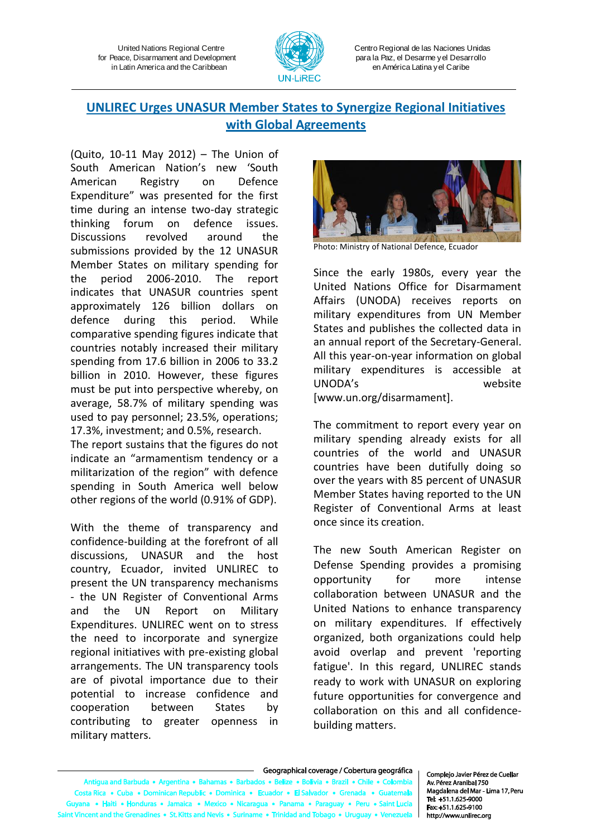

Centro Regional de las Naciones Unidas para la Paz, el Desarme y el Desarrollo en América Latina y el Caribe

## **UNLIREC Urges UNASUR Member States to Synergize Regional Initiatives with Global Agreements**

(Quito, 10-11 May 2012) – The Union of South American Nation's new 'South American Registry on Defence Expenditure" was presented for the first time during an intense two-day strategic thinking forum on defence issues. Discussions revolved around the submissions provided by the 12 UNASUR Member States on military spending for the period 2006-2010. The report indicates that UNASUR countries spent approximately 126 billion dollars on defence during this period. While comparative spending figures indicate that countries notably increased their military spending from 17.6 billion in 2006 to 33.2 billion in 2010. However, these figures must be put into perspective whereby, on average, 58.7% of military spending was used to pay personnel; 23.5%, operations; 17.3%, investment; and 0.5%, research.

The report sustains that the figures do not indicate an "armamentism tendency or a militarization of the region" with defence spending in South America well below other regions of the world (0.91% of GDP).

With the theme of transparency and confidence-building at the forefront of all discussions, UNASUR and the host country, Ecuador, invited UNLIREC to present the UN transparency mechanisms - the UN Register of Conventional Arms and the UN Report on Military Expenditures. UNLIREC went on to stress the need to incorporate and synergize regional initiatives with pre-existing global arrangements. The UN transparency tools are of pivotal importance due to their potential to increase confidence and cooperation between States by contributing to greater openness in military matters.



Photo: Ministry of National Defence, Ecuador

Since the early 1980s, every year the United Nations Office for Disarmament Affairs (UNODA) receives reports on military expenditures from UN Member States and publishes the collected data in an annual report of the Secretary-General. All this year-on-year information on global military expenditures is accessible at UNODA's website [www.un.org/disarmament].

The commitment to report every year on military spending already exists for all countries of the world and UNASUR countries have been dutifully doing so over the years with 85 percent of UNASUR Member States having reported to the UN Register of Conventional Arms at least once since its creation.

The new South American Register on Defense Spending provides a promising opportunity for more intense collaboration between UNASUR and the United Nations to enhance transparency on military expenditures. If effectively organized, both organizations could help avoid overlap and prevent 'reporting fatigue'. In this regard, UNLIREC stands ready to work with UNASUR on exploring future opportunities for convergence and collaboration on this and all confidencebuilding matters.

Geographical coverage / Cobertura geográfica Antigua and Barbuda . Argentina . Bahamas . Barba dos • Belize • Bolivia • Brazil • Chile • Colombia Costa Rica · Cuba · Dominican Republic · Dominica · Ecuador · El Salvador · Gre na • Haiti • Honduras • Jamaica • Mexico • Nicaragua • Panama • Paraguay • Peru • Saint Luc t Vincent and the Grenadines • St. Kitts and Nevis • Suriname • Trinidad and Tobago • Uruguay • Ver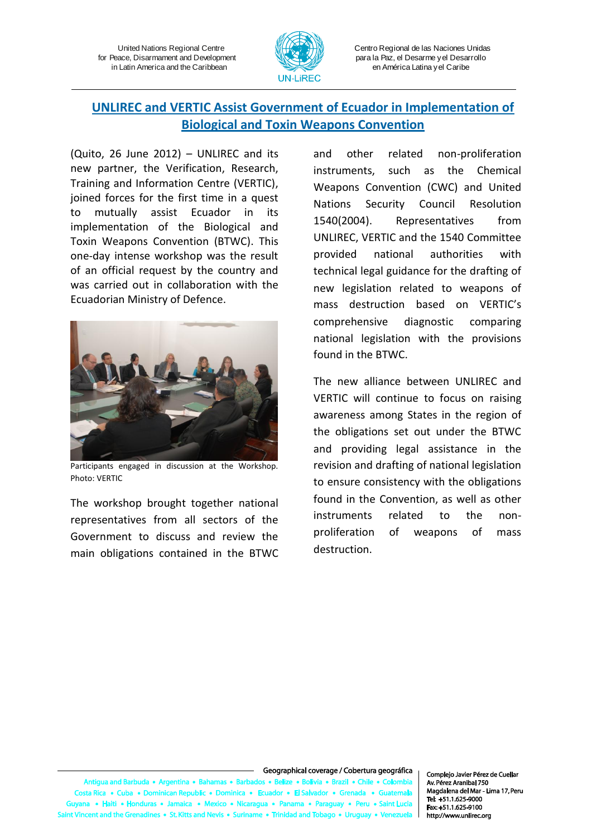

Centro Regional de las Naciones Unidas para la Paz, el Desarme y el Desarrollo en América Latina y el Caribe

## **UNLIREC and VERTIC Assist Government of Ecuador in Implementation of Biological and Toxin Weapons Convention**

(Quito, 26 June 2012) – UNLIREC and its new partner, the Verification, Research, Training and Information Centre (VERTIC), joined forces for the first time in a quest to mutually assist Ecuador in its implementation of the Biological and Toxin Weapons Convention (BTWC). This one-day intense workshop was the result of an official request by the country and was carried out in collaboration with the Ecuadorian Ministry of Defence.



Participants engaged in discussion at the Workshop. Photo: VERTIC

The workshop brought together national representatives from all sectors of the Government to discuss and review the main obligations contained in the BTWC and other related non-proliferation instruments, such as the Chemical Weapons Convention (CWC) and United Nations Security Council Resolution 1540(2004). Representatives from UNLIREC, VERTIC and the 1540 Committee provided national authorities with technical legal guidance for the drafting of new legislation related to weapons of mass destruction based on VERTIC's comprehensive diagnostic comparing national legislation with the provisions found in the BTWC.

The new alliance between UNLIREC and VERTIC will continue to focus on raising awareness among States in the region of the obligations set out under the BTWC and providing legal assistance in the revision and drafting of national legislation to ensure consistency with the obligations found in the Convention, as well as other instruments related to the nonproliferation of weapons of mass destruction.

#### Geographical coverage / Cobertura geográfica

s • Beliz tigua and Barb uda • Argentina • Bah  $\overline{a}$   $\overline{b}$   $\overline{b}$   $\overline{a}$ e e Bolivia e Brazil e Chile e Colombia ta Rica • Cuba • Dominican Republic • Dominica • Ecu ador • Gr  $or - El S<sub>i</sub>$ a • Haiti • Honduras • Jamaica • Mexico • Nicaragua • Panama • Para • Peru • Saint Lu ent and the Grenadines • St. Kitts and Nevis • Suriname • Trinidad and Tob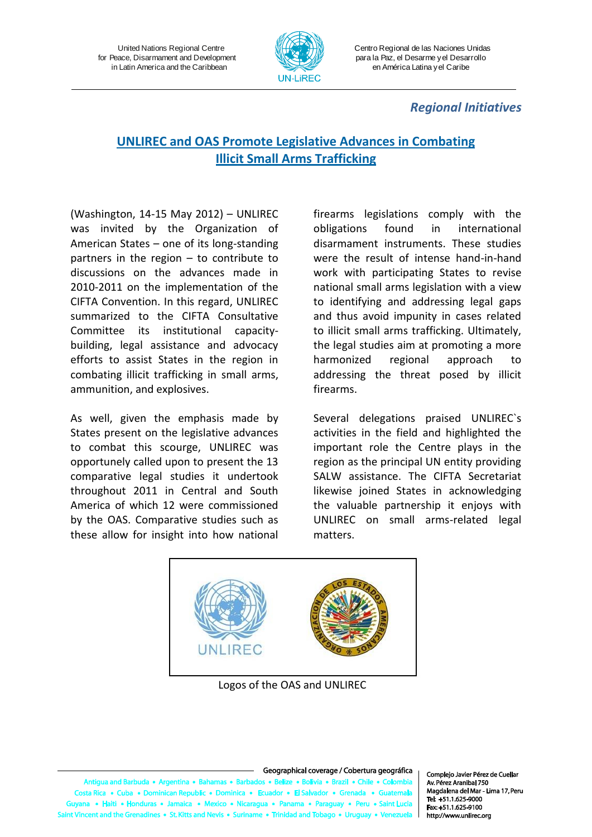

Centro Regional de las Naciones Unidas para la Paz, el Desarme y el Desarrollo en América Latina y el Caribe

### *Regional Initiatives*

# **UNLIREC and OAS Promote Legislative Advances in Combating Illicit Small Arms Trafficking**

(Washington, 14-15 May 2012) – UNLIREC was invited by the Organization of American States – one of its long-standing partners in the region – to contribute to discussions on the advances made in 2010-2011 on the implementation of the CIFTA Convention. In this regard, UNLIREC summarized to the CIFTA Consultative Committee its institutional capacitybuilding, legal assistance and advocacy efforts to assist States in the region in combating illicit trafficking in small arms, ammunition, and explosives.

As well, given the emphasis made by States present on the legislative advances to combat this scourge, UNLIREC was opportunely called upon to present the 13 comparative legal studies it undertook throughout 2011 in Central and South America of which 12 were commissioned by the OAS. Comparative studies such as these allow for insight into how national

firearms legislations comply with the obligations found in international disarmament instruments. These studies were the result of intense hand-in-hand work with participating States to revise national small arms legislation with a view to identifying and addressing legal gaps and thus avoid impunity in cases related to illicit small arms trafficking. Ultimately, the legal studies aim at promoting a more harmonized regional approach to addressing the threat posed by illicit firearms.

Several delegations praised UNLIREC`s activities in the field and highlighted the important role the Centre plays in the region as the principal UN entity providing SALW assistance. The CIFTA Secretariat likewise joined States in acknowledging the valuable partnership it enjoys with UNLIREC on small arms-related legal matters.



Logos of the OAS and UNLIREC

Geographical coverage / Cobertura geográfica

da • Argentina • Ba s a Rel e Bolivia e Brazil e Chile e Color ua and Barl ta Rica · Cuba · Dominican Rep ublic . Don inica • Fcu  $r = FlS$ kico • Nicaragu a • Haiti • Honduras • Jamaica • Me a • Pana ima • Par • Peru • Saint Lu ent and the Grenadii nes • St. Kitts and Nevis • Suriname • Trinidad and Tol